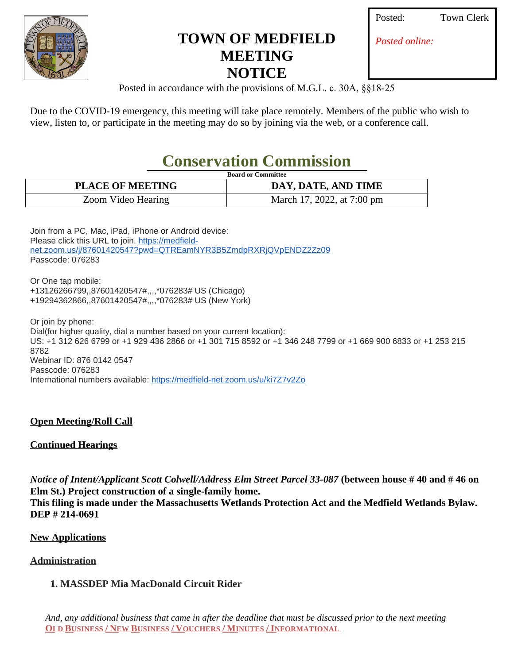

## **TOWN OF MEDFIELD MEETING NOTICE**

**Town Clerk** 

*Posted online:*

Posted in accordance with the provisions of M.G.L. c. 30A, §§18-25

Due to the COVID-19 emergency, this meeting will take place remotely. Members of the public who wish to view, listen to, or participate in the meeting may do so by joining via the web, or a conference call.

# **Conservation Commission**

| <b>Board or Committee</b> |                            |
|---------------------------|----------------------------|
| <b>PLACE OF MEETING</b>   | DAY, DATE, AND TIME        |
| Zoom Video Hearing        | March 17, 2022, at 7:00 pm |

Join from a PC, Mac, iPad, iPhone or Android device: Please click this URL to join. [https://medfield](https://www.google.com/url?q=https%3A%2F%2Fmedfield-net.zoom.us%2Fj%2F87601420547%3Fpwd%3DQTREamNYR3B5ZmdpRXRjQVpENDZ2Zz09&sa=D&ust=1647446632766000&usg=AOvVaw2Z7l4wGfoohhQqzTScDOMN)net.zoom.us/j/87601420547?pwd=QTREamNYR3B5ZmdpRXRjQVpENDZ2Zz09 Passcode: 076283

Or One tap mobile: +13126266799,,87601420547#,,,,\*076283# US (Chicago) +19294362866,,87601420547#,,,,\*076283# US (New York)

Or join by phone: Dial(for higher quality, dial a number based on your current location): US: +1 312 626 6799 or +1 929 436 2866 or +1 301 715 8592 or +1 346 248 7799 or +1 669 900 6833 or +1 253 215 8782 Webinar ID: 876 0142 0547 Passcode: 076283 International numbers available: [https://medfield-net.zoom.us/u/ki7Z7v2Zo](https://www.google.com/url?q=https%3A%2F%2Fmedfield-net.zoom.us%2Fu%2Fki7Z7v2Zo&sa=D&ust=1647446632767000&usg=AOvVaw3vcZ2LHayl4pXbCKQGlPi4)

#### **Open Meeting/Roll Call**

#### **Continued Hearings**

*Notice of Intent/Applicant Scott Colwell/Address Elm Street Parcel 33-087* **(between house # 40 and # 46 on Elm St.) Project construction of a single-family home. This filing is made under the Massachusetts Wetlands Protection Act and the Medfield Wetlands Bylaw. DEP # 214-0691**

#### **New Applications**

#### **Administration**

### **1. MASSDEP Mia MacDonald Circuit Rider**